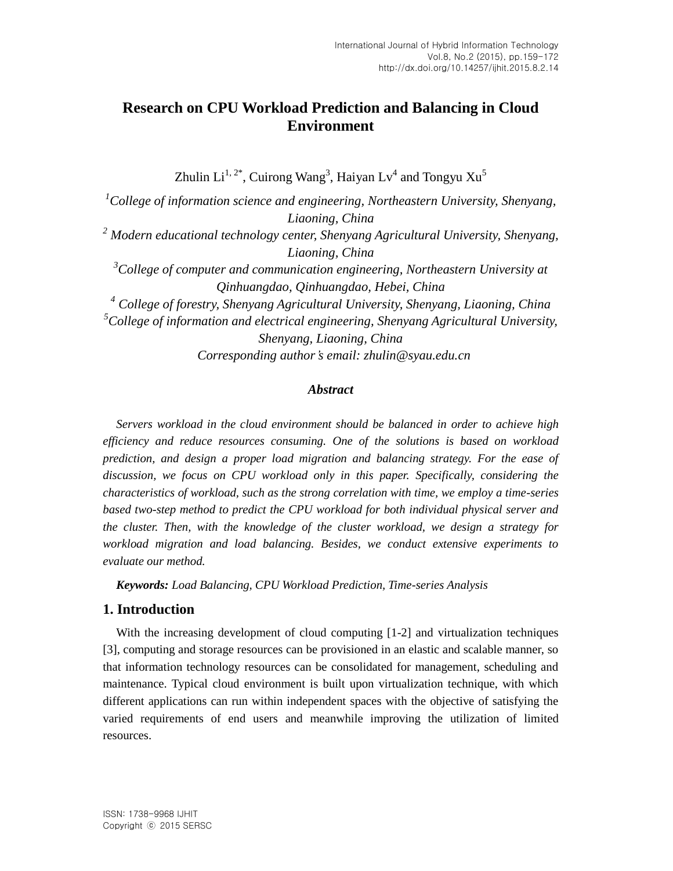# **Research on CPU Workload Prediction and Balancing in Cloud Environment**

Zhulin Li $^{1,\,2^\ast}$ , Cuirong Wang $^3$ , Haiyan Lv $^4$  and Tongyu  $\rm{Xu}^5$ 

*<sup>1</sup>College of information science and engineering, Northeastern University, Shenyang, Liaoning, China <sup>2</sup> Modern educational technology center, Shenyang Agricultural University, Shenyang, Liaoning, China <sup>3</sup>College of computer and communication engineering, Northeastern University at Qinhuangdao, Qinhuangdao, Hebei, China <sup>4</sup> College of forestry, Shenyang Agricultural University, Shenyang, Liaoning, China <sup>5</sup>College of information and electrical engineering, Shenyang Agricultural University, Shenyang, Liaoning, China Corresponding author's email: zhulin@syau.edu.cn*

## *Abstract*

*Servers workload in the cloud environment should be balanced in order to achieve high efficiency and reduce resources consuming. One of the solutions is based on workload prediction, and design a proper load migration and balancing strategy. For the ease of discussion, we focus on CPU workload only in this paper. Specifically, considering the characteristics of workload, such as the strong correlation with time, we employ a time-series based two-step method to predict the CPU workload for both individual physical server and the cluster. Then, with the knowledge of the cluster workload, we design a strategy for workload migration and load balancing. Besides, we conduct extensive experiments to evaluate our method.*

*Keywords: Load Balancing, CPU Workload Prediction, Time-series Analysis*

# **1. Introduction**

With the increasing development of cloud computing  $[1-2]$  and virtualization techniques [3], computing and storage resources can be provisioned in an elastic and scalable manner, so that information technology resources can be consolidated for management, scheduling and maintenance. Typical cloud environment is built upon virtualization technique, with which different applications can run within independent spaces with the objective of satisfying the varied requirements of end users and meanwhile improving the utilization of limited resources.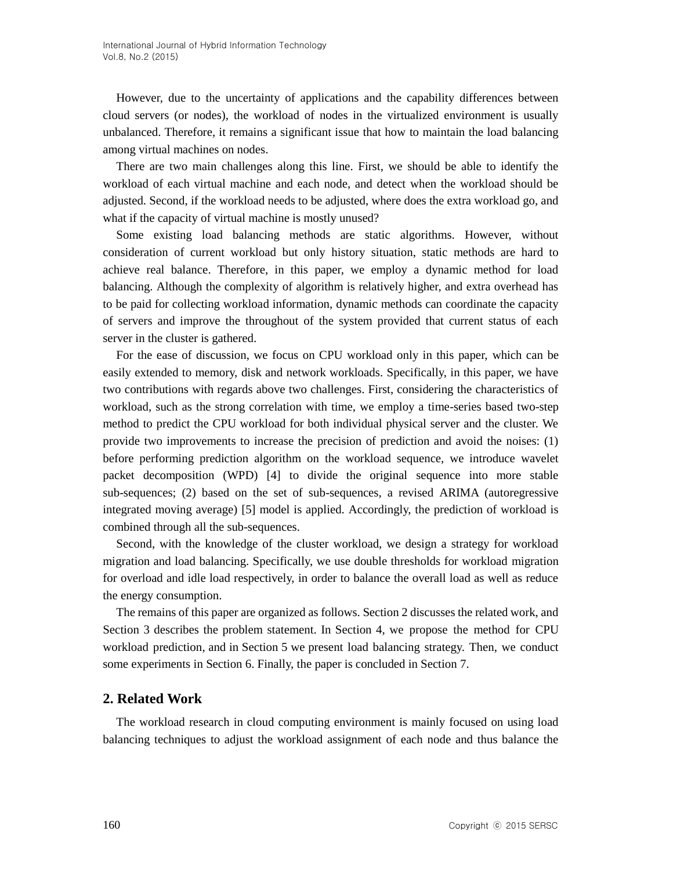However, due to the uncertainty of applications and the capability differences between cloud servers (or nodes), the workload of nodes in the virtualized environment is usually unbalanced. Therefore, it remains a significant issue that how to maintain the load balancing among virtual machines on nodes.

There are two main challenges along this line. First, we should be able to identify the workload of each virtual machine and each node, and detect when the workload should be adjusted. Second, if the workload needs to be adjusted, where does the extra workload go, and what if the capacity of virtual machine is mostly unused?

Some existing load balancing methods are static algorithms. However, without consideration of current workload but only history situation, static methods are hard to achieve real balance. Therefore, in this paper, we employ a dynamic method for load balancing. Although the complexity of algorithm is relatively higher, and extra overhead has to be paid for collecting workload information, dynamic methods can coordinate the capacity of servers and improve the throughout of the system provided that current status of each server in the cluster is gathered.

For the ease of discussion, we focus on CPU workload only in this paper, which can be easily extended to memory, disk and network workloads. Specifically, in this paper, we have two contributions with regards above two challenges. First, considering the characteristics of workload, such as the strong correlation with time, we employ a time-series based two-step method to predict the CPU workload for both individual physical server and the cluster. We provide two improvements to increase the precision of prediction and avoid the noises: (1) before performing prediction algorithm on the workload sequence, we introduce wavelet packet decomposition (WPD) [4] to divide the original sequence into more stable sub-sequences; (2) based on the set of sub-sequences, a revised ARIMA (autoregressive integrated moving average) [5] model is applied. Accordingly, the prediction of workload is combined through all the sub-sequences.

Second, with the knowledge of the cluster workload, we design a strategy for workload migration and load balancing. Specifically, we use double thresholds for workload migration for overload and idle load respectively, in order to balance the overall load as well as reduce the energy consumption.

The remains of this paper are organized as follows. Section 2 discusses the related work, and Section 3 describes the problem statement. In Section 4, we propose the method for CPU workload prediction, and in Section 5 we present load balancing strategy. Then, we conduct some experiments in Section 6. Finally, the paper is concluded in Section 7.

### **2. Related Work**

The workload research in cloud computing environment is mainly focused on using load balancing techniques to adjust the workload assignment of each node and thus balance the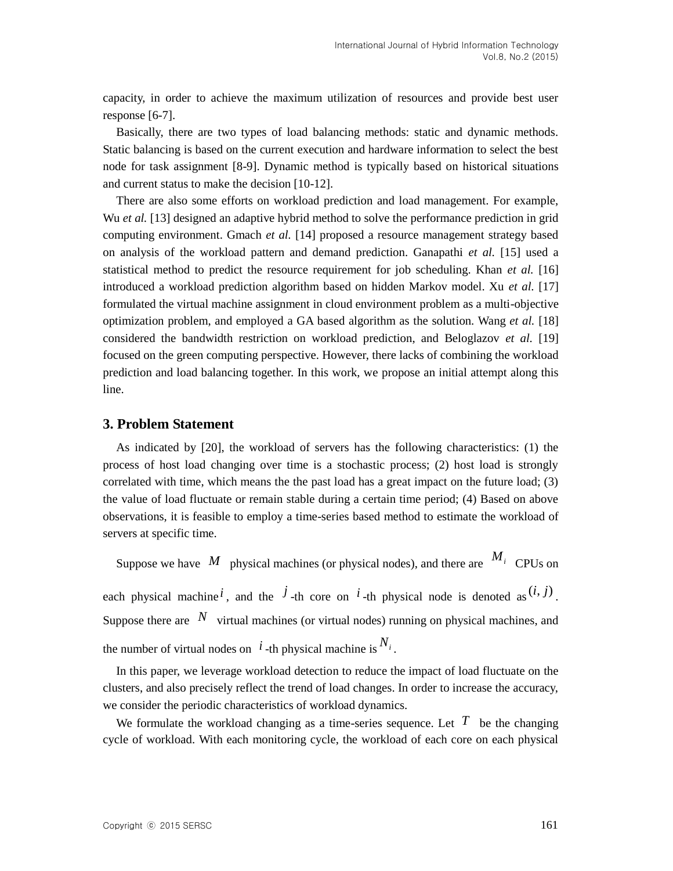capacity, in order to achieve the maximum utilization of resources and provide best user response [6-7].

Basically, there are two types of load balancing methods: static and dynamic methods. Static balancing is based on the current execution and hardware information to select the best node for task assignment [8-9]. Dynamic method is typically based on historical situations and current status to make the decision [10-12].

There are also some efforts on workload prediction and load management. For example, Wu *et al.* [13] designed an adaptive hybrid method to solve the performance prediction in grid computing environment. Gmach *et al.* [14] proposed a resource management strategy based on analysis of the workload pattern and demand prediction. Ganapathi *et al.* [15] used a statistical method to predict the resource requirement for job scheduling. Khan *et al.* [16] introduced a workload prediction algorithm based on hidden Markov model. Xu *et al.* [17] formulated the virtual machine assignment in cloud environment problem as a multi-objective optimization problem, and employed a GA based algorithm as the solution. Wang *et al.* [18] considered the bandwidth restriction on workload prediction, and Beloglazov *et al.* [19] focused on the green computing perspective. However, there lacks of combining the workload prediction and load balancing together. In this work, we propose an initial attempt along this line.

# **3. Problem Statement**

As indicated by [20], the workload of servers has the following characteristics: (1) the process of host load changing over time is a stochastic process; (2) host load is strongly correlated with time, which means the the past load has a great impact on the future load; (3) the value of load fluctuate or remain stable during a certain time period; (4) Based on above observations, it is feasible to employ a time-series based method to estimate the workload of servers at specific time.

Suppose we have  $\overline{M}$  physical machines (or physical nodes), and there are  $\overline{M}$ <sup>*i*</sup> CPUs on each physical machine<sup>*i*</sup>, and the <sup>*j*</sup>-th core on <sup>*i*</sup>-th physical node is denoted as  $(i, j)$ . Suppose there are  $N$  virtual machines (or virtual nodes) running on physical machines, and the number of virtual nodes on  $i$ -th physical machine is  $N_i$ .

In this paper, we leverage workload detection to reduce the impact of load fluctuate on the clusters, and also precisely reflect the trend of load changes. In order to increase the accuracy, we consider the periodic characteristics of workload dynamics.

We formulate the workload changing as a time-series sequence. Let  $T$  be the changing cycle of workload. With each monitoring cycle, the workload of each core on each physical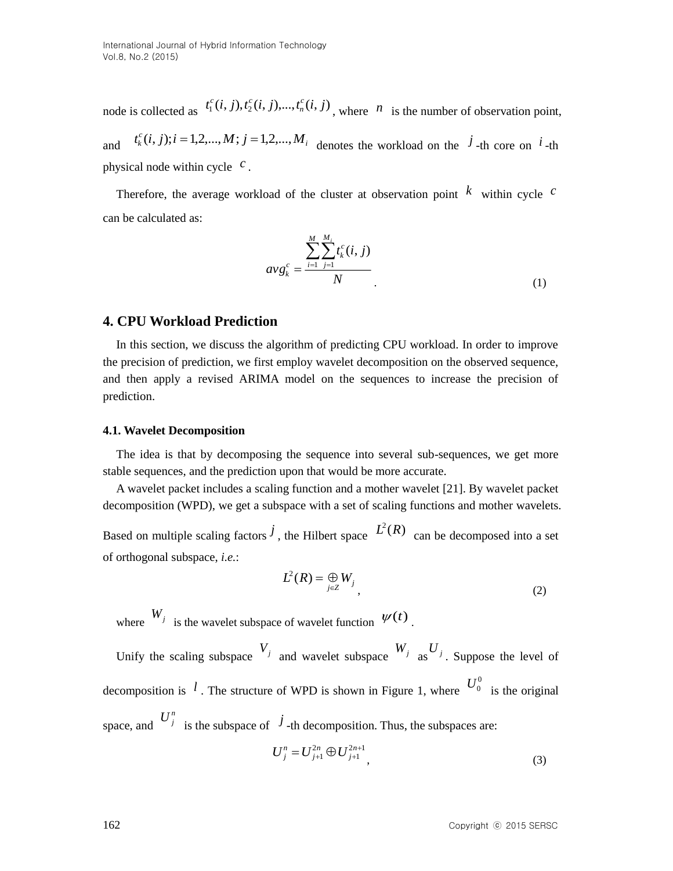node is collected as  $t_1^c(i, j), t_2^c(i, j), \dots, t_n^c(i, j)$ *n*  $c_i^c(i, j), t_2^c(i, j), \ldots, t_n^c(i, j)$ , where *n* is the number of observation point, and  $t_k^c(i, j); i = 1, 2, \ldots, M; j = 1, 2, \ldots, M$ <sub>*i*</sub> denotes the workload on the <sup>*j*</sup>-th core on *i*-th physical node within cycle *<sup>c</sup>* .

Therefore, the average workload of the cluster at observation point  $\overline{k}$  within cycle  $\overline{c}$ can be calculated as:

$$
avg_k^c = \frac{\sum_{i=1}^{M} \sum_{j=1}^{M_i} t_k^c(i, j)}{N}
$$
\n(1)

## **4. CPU Workload Prediction**

In this section, we discuss the algorithm of predicting CPU workload. In order to improve the precision of prediction, we first employ wavelet decomposition on the observed sequence, and then apply a revised ARIMA model on the sequences to increase the precision of prediction.

#### **4.1. Wavelet Decomposition**

The idea is that by decomposing the sequence into several sub-sequences, we get more stable sequences, and the prediction upon that would be more accurate.

A wavelet packet includes a scaling function and a mother wavelet [21]. By wavelet packet decomposition (WPD), we get a subspace with a set of scaling functions and mother wavelets. Based on multiple scaling factors  $\hat{J}$ , the Hilbert space  $\hat{L}^2(R)$  can be decomposed into a set of orthogonal subspace, *i.e.*:

$$
L^2(R) = \bigoplus_{j \in \mathbb{Z}} W_j \tag{2}
$$

where  $W_j$  is the wavelet subspace of wavelet function  $\psi(t)$ .

Unify the scaling subspace  $V_j$  and wavelet subspace  $W_j$  as  $U_j$ . Suppose the level of decomposition is <sup>*l*</sup>. The structure of WPD is shown in Figure 1, where  $U_0^0$  is the original space, and  $U_j^n$  is the subspace of  $j$ -th decomposition. Thus, the subspaces are:

$$
U_j^n = U_{j+1}^{2n} \oplus U_{j+1}^{2n+1}, \tag{3}
$$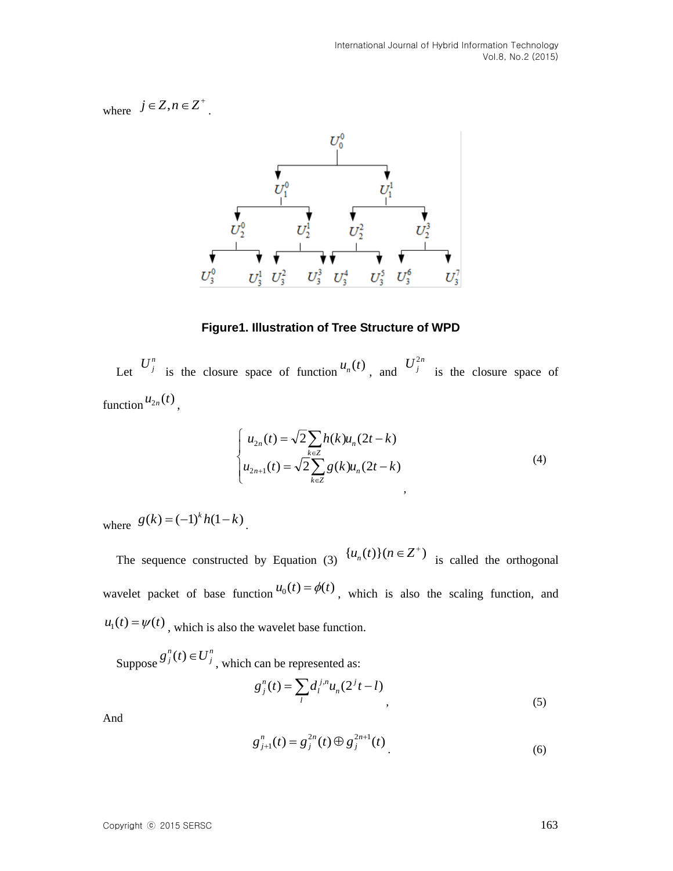where  $j \in Z, n \in Z^+$ .



**Figure1. Illustration of Tree Structure of WPD** 

Let  $U_j^n$  is the closure space of function  $u_n(t)$ , and  $U_j^{2n}$ is the closure space of function  $u_{2n}(t)$ ,

$$
\begin{cases}\n u_{2n}(t) = \sqrt{2} \sum_{k \in \mathbb{Z}} h(k) u_n(2t - k) \\
u_{2n+1}(t) = \sqrt{2} \sum_{k \in \mathbb{Z}} g(k) u_n(2t - k)\n\end{cases}
$$
\n(4)

where  $g(k) = (-1)^k h(1-k)$ .

The sequence constructed by Equation (3)  $\{u_n(t)\}$   $(n \in \mathbb{Z}^+)$  is called the orthogonal wavelet packet of base function  $u_0(t) = \phi(t)$ , which is also the scaling function, and  $u_1(t) = \psi(t)$ , which is also the wavelet base function.

Suppose *n j*  $g_j^n(t) \in U_j^n$ , which can be represented as:

$$
g_j^n(t) = \sum_l d_l^{j,n} u_n (2^j t - l), \qquad (5)
$$

And

$$
g_{j+1}^n(t) = g_j^{2n}(t) \oplus g_j^{2n+1}(t)
$$
\n(6)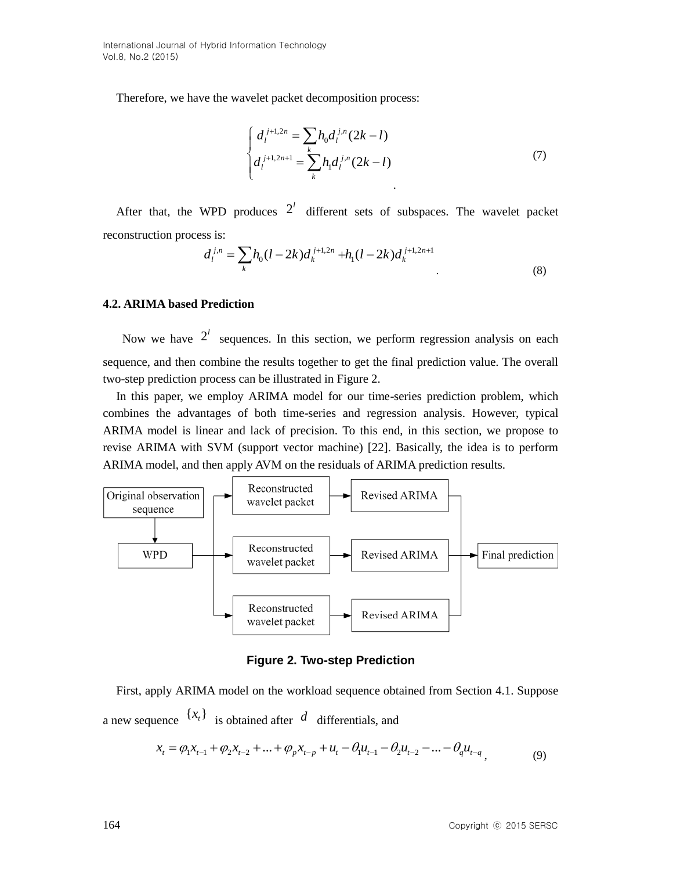Therefore, we have the wavelet packet decomposition process:

$$
\begin{cases}\n d_i^{j+1,2n} = \sum_k h_0 d_i^{j,n} (2k-l) \\
d_i^{j+1,2n+1} = \sum_k h_1 d_i^{j,n} (2k-l)\n\end{cases} \tag{7}
$$

After that, the WPD produces  $2<sup>l</sup>$  different sets of subspaces. The wavelet packet reconstruction process is:

$$
d_l^{j,n} = \sum_k h_0 (l - 2k) d_k^{j+1,2n} + h_1 (l - 2k) d_k^{j+1,2n+1}
$$
\n(8)

#### **4.2. ARIMA based Prediction**

Now we have  $2^l$  sequences. In this section, we perform regression analysis on each sequence, and then combine the results together to get the final prediction value. The overall two-step prediction process can be illustrated in Figure 2.

In this paper, we employ ARIMA model for our time-series prediction problem, which combines the advantages of both time-series and regression analysis. However, typical ARIMA model is linear and lack of precision. To this end, in this section, we propose to revise ARIMA with SVM (support vector machine) [22]. Basically, the idea is to perform ARIMA model, and then apply AVM on the residuals of ARIMA prediction results.



**Figure 2. Two-step Prediction** 

First, apply ARIMA model on the workload sequence obtained from Section 4.1. Suppose a new sequence  $\{x_t\}$  is obtained after d differentials, and

$$
x_{t} = \varphi_{1}x_{t-1} + \varphi_{2}x_{t-2} + \dots + \varphi_{p}x_{t-p} + u_{t} - \theta_{1}u_{t-1} - \theta_{2}u_{t-2} - \dots - \theta_{q}u_{t-q}, \qquad (9)
$$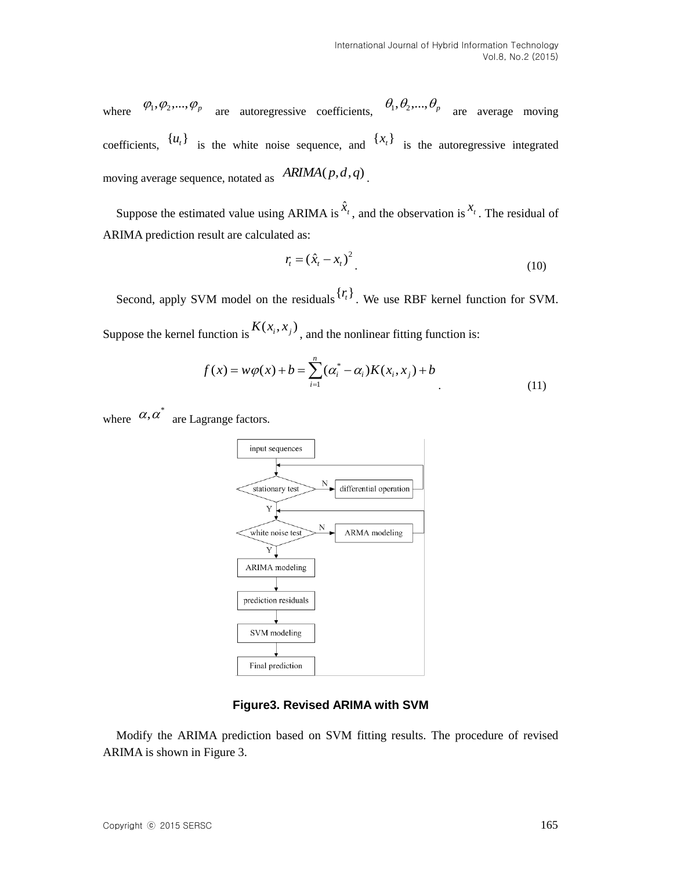where  $\varphi_1, \varphi_2, ..., \varphi_p$  are autoregressive coefficients,  $\theta_1, \theta_2, ..., \theta_p$  are average moving coefficients,  $\{u_t\}$  is the white noise sequence, and  $\{x_t\}$  is the autoregressive integrated moving average sequence, notated as  $ARIMA(p,d,q)$ .

Suppose the estimated value using ARIMA is  $\hat{x}$ <sup>t</sup>, and the observation is  $x$ <sup>t</sup>. The residual of ARIMA prediction result are calculated as:

$$
r_t = (\hat{x}_t - x_t)^2 \tag{10}
$$

Second, apply SVM model on the residuals  ${r_t}$ . We use RBF kernel function for SVM. Suppose the kernel function is  $K(x_i, x_j)$ , and the nonlinear fitting function is:

$$
f(x) = w\varphi(x) + b = \sum_{i=1}^{n} (\alpha_i^* - \alpha_i)K(x_i, x_j) + b
$$
\n(11)

where  $\alpha, \alpha^*$  are Lagrange factors.



#### **Figure3. Revised ARIMA with SVM**

Modify the ARIMA prediction based on SVM fitting results. The procedure of revised ARIMA is shown in Figure 3.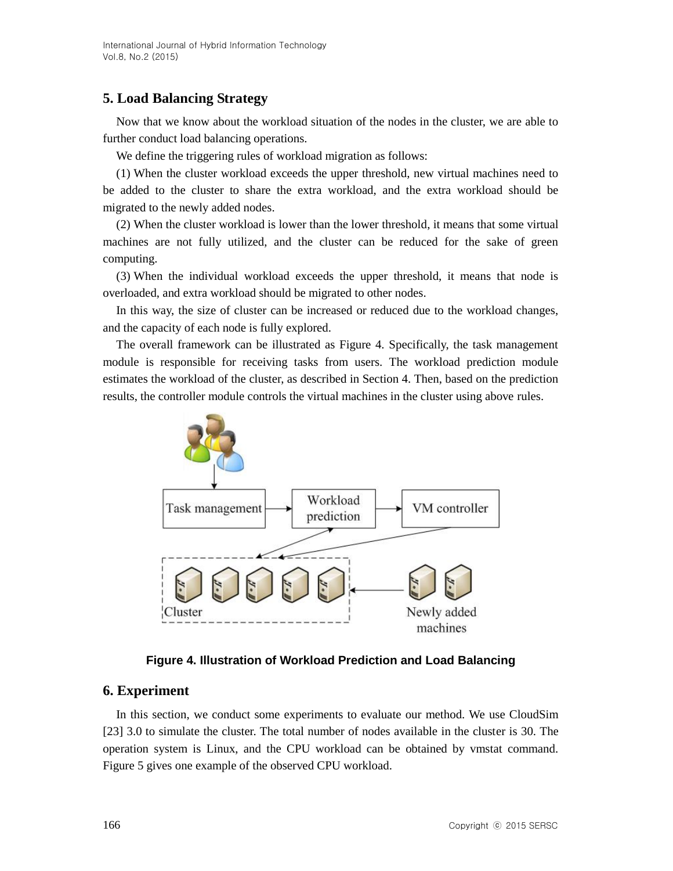# **5. Load Balancing Strategy**

Now that we know about the workload situation of the nodes in the cluster, we are able to further conduct load balancing operations.

We define the triggering rules of workload migration as follows:

(1) When the cluster workload exceeds the upper threshold, new virtual machines need to be added to the cluster to share the extra workload, and the extra workload should be migrated to the newly added nodes.

(2) When the cluster workload is lower than the lower threshold, it means that some virtual machines are not fully utilized, and the cluster can be reduced for the sake of green computing.

(3) When the individual workload exceeds the upper threshold, it means that node is overloaded, and extra workload should be migrated to other nodes.

In this way, the size of cluster can be increased or reduced due to the workload changes, and the capacity of each node is fully explored.

The overall framework can be illustrated as Figure 4. Specifically, the task management module is responsible for receiving tasks from users. The workload prediction module estimates the workload of the cluster, as described in Section 4. Then, based on the prediction results, the controller module controls the virtual machines in the cluster using above rules.



# **Figure 4. Illustration of Workload Prediction and Load Balancing**

# **6. Experiment**

In this section, we conduct some experiments to evaluate our method. We use CloudSim [23] 3.0 to simulate the cluster. The total number of nodes available in the cluster is 30. The operation system is Linux, and the CPU workload can be obtained by vmstat command. Figure 5 gives one example of the observed CPU workload.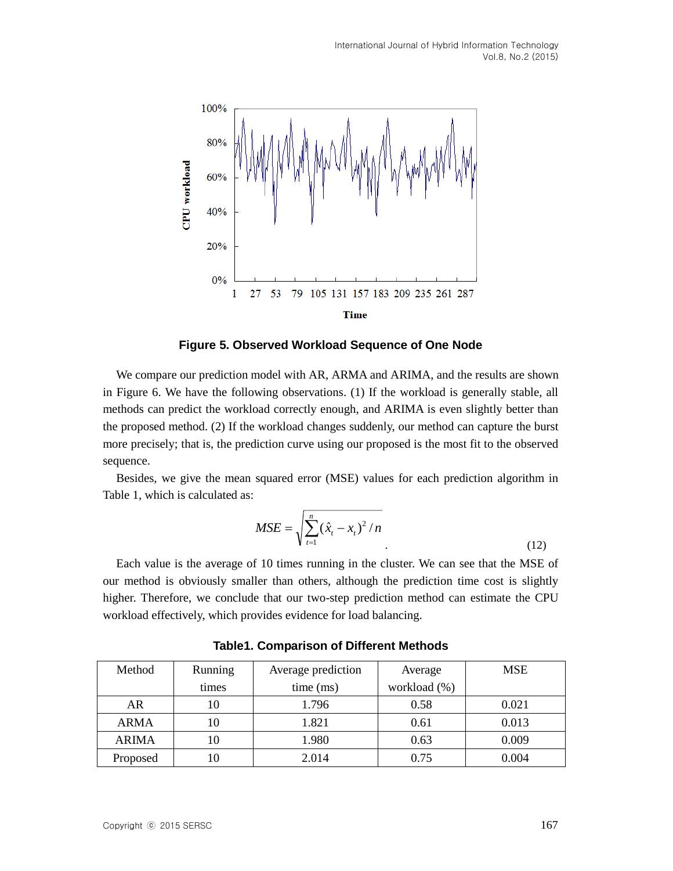

**Figure 5. Observed Workload Sequence of One Node**

We compare our prediction model with AR, ARMA and ARIMA, and the results are shown in Figure 6. We have the following observations. (1) If the workload is generally stable, all methods can predict the workload correctly enough, and ARIMA is even slightly better than the proposed method. (2) If the workload changes suddenly, our method can capture the burst more precisely; that is, the prediction curve using our proposed is the most fit to the observed sequence.

Besides, we give the mean squared error (MSE) values for each prediction algorithm in Table 1, which is calculated as:

$$
MSE = \sqrt{\sum_{t=1}^{n} (\hat{x}_t - x_t)^2 / n}
$$
 (12)

Each value is the average of 10 times running in the cluster. We can see that the MSE of our method is obviously smaller than others, although the prediction time cost is slightly higher. Therefore, we conclude that our two-step prediction method can estimate the CPU workload effectively, which provides evidence for load balancing.

| Method       | Running | Average prediction | Average      | <b>MSE</b> |
|--------------|---------|--------------------|--------------|------------|
|              | times   | time (ms)          | workload (%) |            |
| AR           | 10      | 1.796              | 0.58         | 0.021      |
| <b>ARMA</b>  | 10      | 1.821              | 0.61         | 0.013      |
| <b>ARIMA</b> | 10      | 1.980              | 0.63         | 0.009      |
| Proposed     | 10      | 2.014              | 0.75         | 0.004      |

**Table1. Comparison of Different Methods**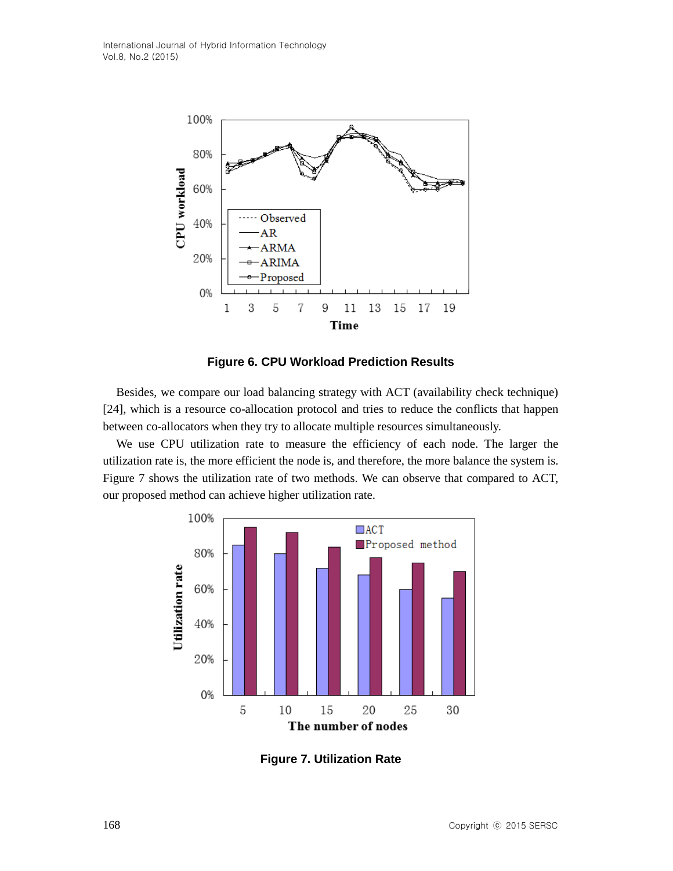

**Figure 6. CPU Workload Prediction Results**

Besides, we compare our load balancing strategy with ACT (availability check technique) [24], which is a resource co-allocation protocol and tries to reduce the conflicts that happen between co-allocators when they try to allocate multiple resources simultaneously.

We use CPU utilization rate to measure the efficiency of each node. The larger the utilization rate is, the more efficient the node is, and therefore, the more balance the system is. Figure 7 shows the utilization rate of two methods. We can observe that compared to ACT, our proposed method can achieve higher utilization rate.



**Figure 7. Utilization Rate**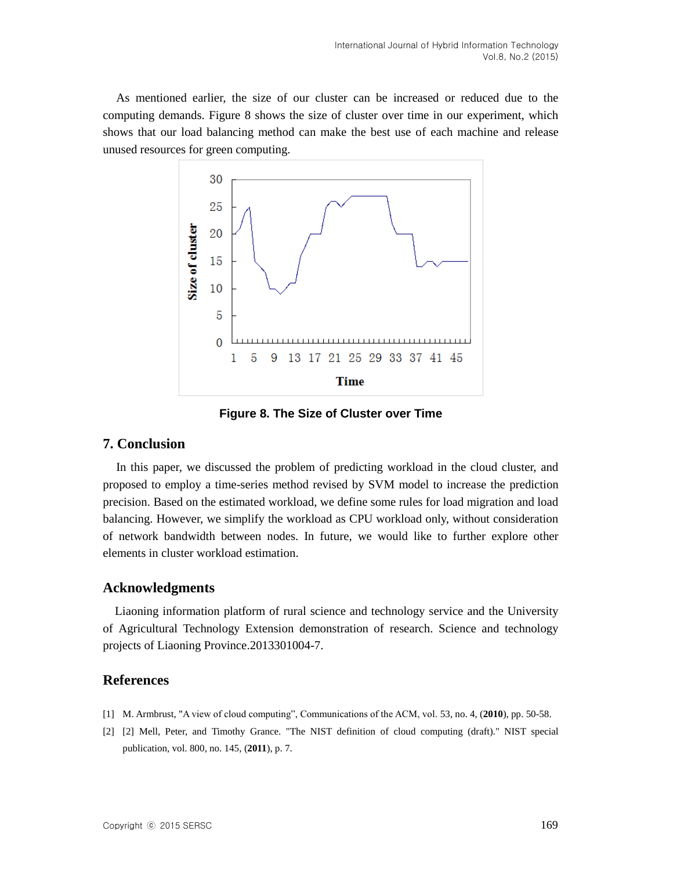As mentioned earlier, the size of our cluster can be increased or reduced due to the computing demands. Figure 8 shows the size of cluster over time in our experiment, which shows that our load balancing method can make the best use of each machine and release unused resources for green computing.



**Figure 8. The Size of Cluster over Time** 

## **7. Conclusion**

In this paper, we discussed the problem of predicting workload in the cloud cluster, and proposed to employ a time-series method revised by SVM model to increase the prediction precision. Based on the estimated workload, we define some rules for load migration and load balancing. However, we simplify the workload as CPU workload only, without consideration of network bandwidth between nodes. In future, we would like to further explore other elements in cluster workload estimation.

### **Acknowledgments**

Liaoning information platform of rural science and technology service and the University of Agricultural Technology Extension demonstration of research. Science and technology projects of Liaoning Province.2013301004-7.

## **References**

- [1] M. Armbrust, "A view of cloud computing", Communications of the ACM, vol. 53, no. 4, (**2010**), pp. 50-58.
- [2] [2] Mell, Peter, and Timothy Grance. "The NIST definition of cloud computing (draft)." NIST special publication, vol. 800, no. 145, (**2011**), p. 7.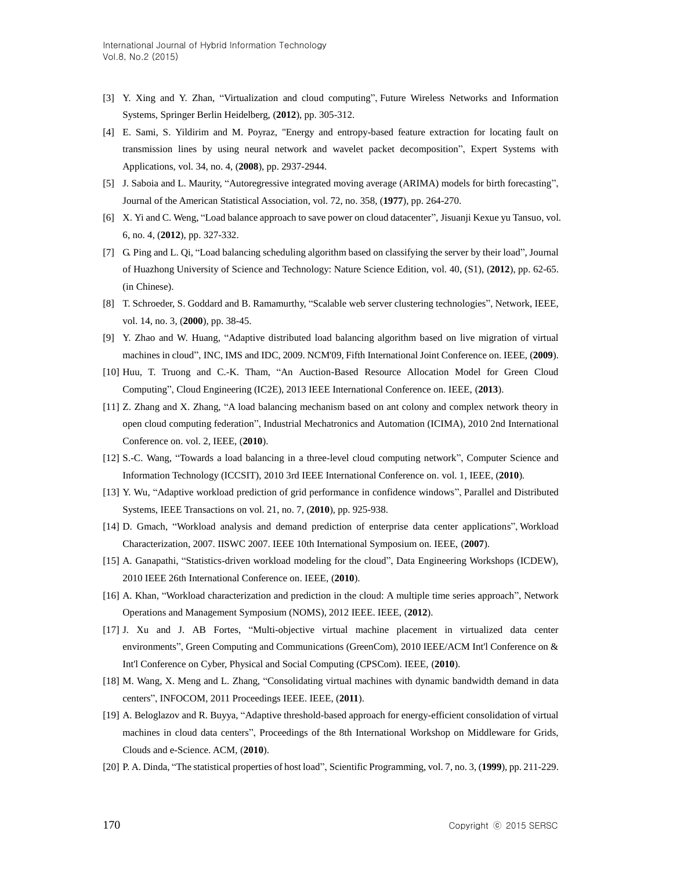- [3] Y. Xing and Y. Zhan, "Virtualization and cloud computing", Future Wireless Networks and Information Systems, Springer Berlin Heidelberg, (**2012**), pp. 305-312.
- [4] E. Sami, S. Yildirim and M. Poyraz, "Energy and entropy-based feature extraction for locating fault on transmission lines by using neural network and wavelet packet decomposition", Expert Systems with Applications, vol. 34, no. 4, (**2008**), pp. 2937-2944.
- [5] J. Saboia and L. Maurity, "Autoregressive integrated moving average (ARIMA) models for birth forecasting", Journal of the American Statistical Association, vol. 72, no. 358, (**1977**), pp. 264-270.
- [6] X. Yi and C. Weng, "Load balance approach to save power on cloud datacenter", Jisuanji Kexue yu Tansuo, vol. 6, no. 4, (**2012**), pp. 327-332.
- [7] G. Ping and L. Qi, "Load balancing scheduling algorithm based on classifying the server by their load", Journal of Huazhong University of Science and Technology: Nature Science Edition, vol. 40, (S1), (**2012**), pp. 62-65. (in Chinese).
- [8] T. Schroeder, S. Goddard and B. Ramamurthy, "Scalable web server clustering technologies", Network, IEEE, vol. 14, no. 3, (**2000**), pp. 38-45.
- [9] Y. Zhao and W. Huang, "Adaptive distributed load balancing algorithm based on live migration of virtual machines in cloud", INC, IMS and IDC, 2009. NCM'09, Fifth International Joint Conference on. IEEE, (**2009**).
- [10] Huu, T. Truong and C.-K. Tham, "An Auction-Based Resource Allocation Model for Green Cloud Computing", Cloud Engineering (IC2E), 2013 IEEE International Conference on. IEEE, (**2013**).
- [11] Z. Zhang and X. Zhang, "A load balancing mechanism based on ant colony and complex network theory in open cloud computing federation", Industrial Mechatronics and Automation (ICIMA), 2010 2nd International Conference on. vol. 2, IEEE, (**2010**).
- [12] S.-C. Wang, "Towards a load balancing in a three-level cloud computing network", Computer Science and Information Technology (ICCSIT), 2010 3rd IEEE International Conference on. vol. 1, IEEE, (**2010**).
- [13] Y. Wu, "Adaptive workload prediction of grid performance in confidence windows", Parallel and Distributed Systems, IEEE Transactions on vol. 21, no. 7, (**2010**), pp. 925-938.
- [14] D. Gmach, "Workload analysis and demand prediction of enterprise data center applications", Workload Characterization, 2007. IISWC 2007. IEEE 10th International Symposium on. IEEE, (**2007**).
- [15] A. Ganapathi, "Statistics-driven workload modeling for the cloud", Data Engineering Workshops (ICDEW), 2010 IEEE 26th International Conference on. IEEE, (**2010**).
- [16] A. Khan, "Workload characterization and prediction in the cloud: A multiple time series approach", Network Operations and Management Symposium (NOMS), 2012 IEEE. IEEE, (**2012**).
- [17] J. Xu and J. AB Fortes, "Multi-objective virtual machine placement in virtualized data center environments", Green Computing and Communications (GreenCom), 2010 IEEE/ACM Int'l Conference on & Int'l Conference on Cyber, Physical and Social Computing (CPSCom). IEEE, (**2010**).
- [18] M. Wang, X. Meng and L. Zhang, "Consolidating virtual machines with dynamic bandwidth demand in data centers", INFOCOM, 2011 Proceedings IEEE. IEEE, (**2011**).
- [19] A. Beloglazov and R. Buyya, "Adaptive threshold-based approach for energy-efficient consolidation of virtual machines in cloud data centers", Proceedings of the 8th International Workshop on Middleware for Grids, Clouds and e-Science. ACM, (**2010**).
- [20] P. A. Dinda, "The statistical properties of host load", Scientific Programming, vol. 7, no. 3, (**1999**), pp. 211-229.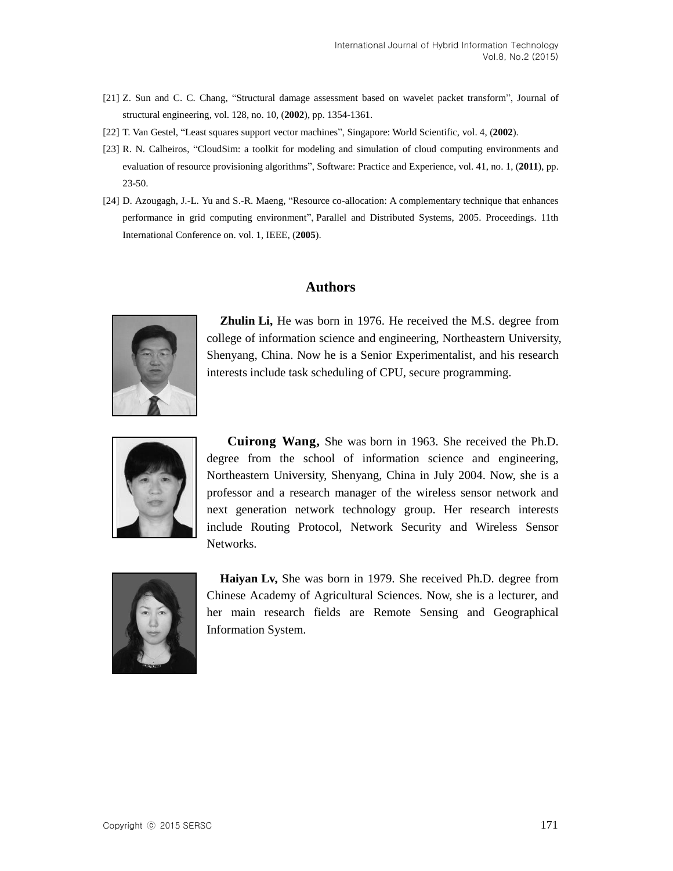- [21] Z. Sun and C. C. Chang, "Structural damage assessment based on wavelet packet transform", Journal of structural engineering, vol. 128, no. 10, (**2002**), pp. 1354-1361.
- [22] T. Van Gestel, "Least squares support vector machines", Singapore: World Scientific, vol. 4, (**2002**).
- [23] R. N. Calheiros, "CloudSim: a toolkit for modeling and simulation of cloud computing environments and evaluation of resource provisioning algorithms", Software: Practice and Experience, vol. 41, no. 1, (**2011**), pp. 23-50.
- [24] D. Azougagh, J.-L. Yu and S.-R. Maeng, "Resource co-allocation: A complementary technique that enhances performance in grid computing environment", Parallel and Distributed Systems, 2005. Proceedings. 11th International Conference on. vol. 1, IEEE, (**2005**).

## **Authors**



**Zhulin Li,** He was born in 1976. He received the M.S. degree from college of information science and engineering, Northeastern University, Shenyang, China. Now he is a Senior Experimentalist, and his research interests include task scheduling of CPU, secure programming.



**Cuirong Wang,** She was born in 1963. She received the Ph.D. degree from the school of information science and engineering, Northeastern University, Shenyang, China in July 2004. Now, she is a professor and a research manager of the wireless sensor network and next generation network technology group. Her research interests include Routing Protocol, Network Security and Wireless Sensor Networks.



**Haiyan Lv,** She was born in 1979. She received Ph.D. degree from Chinese Academy of Agricultural Sciences. Now, she is a lecturer, and her main research fields are Remote Sensing and Geographical Information System.